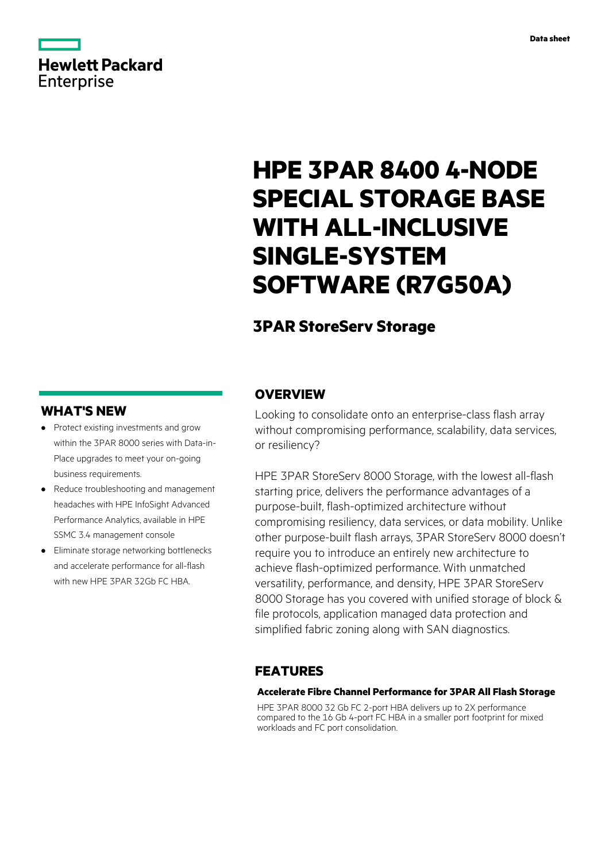# **Hewlett Packard** Enterprise

# **HPE 3PAR 8400 4-NODE SPECIAL STORAGE BASE WITH ALL-INCLUSIVE SINGLE-SYSTEM SOFTWARE (R7G50A)**

## **3PAR StoreServ Storage**

#### **WHAT'S NEW**

- **·** Protect existing investments and grow within the 3PAR 8000 series with Data-in-Place upgrades to meet your on-going business requirements.
- **·** Reduce troubleshooting and management headaches with HPE InfoSight Advanced Performance Analytics, available in HPE SSMC 3.4 management console
- **·** Eliminate storage networking bottlenecks and accelerate performance for all-flash with new HPF 3PAR 32Gh FC HRA

#### **OVERVIEW**

Looking to consolidate onto an enterprise-class flash array without compromising performance, scalability, data services, or resiliency?

HPE 3PAR StoreServ 8000 Storage, with the lowest all-flash starting price, delivers the performance advantages of a purpose-built, flash-optimized architecture without compromising resiliency, data services, or data mobility. Unlike other purpose-built flash arrays, 3PAR StoreServ 8000 doesn't require you to introduce an entirely new architecture to achieve flash-optimized performance. With unmatched versatility, performance, and density, HPE 3PAR StoreServ 8000 Storage has you covered with unified storage of block & file protocols, application managed data protection and simplified fabric zoning along with SAN diagnostics.

#### **FEATURES**

#### **Accelerate Fibre Channel Performance for 3PAR All Flash Storage**

HPE 3PAR 8000 32 Gb FC 2-port HBA delivers up to 2X performance compared to the 16 Gb 4-port FC HBA in a smaller port footprint for mixed workloads and FC port consolidation.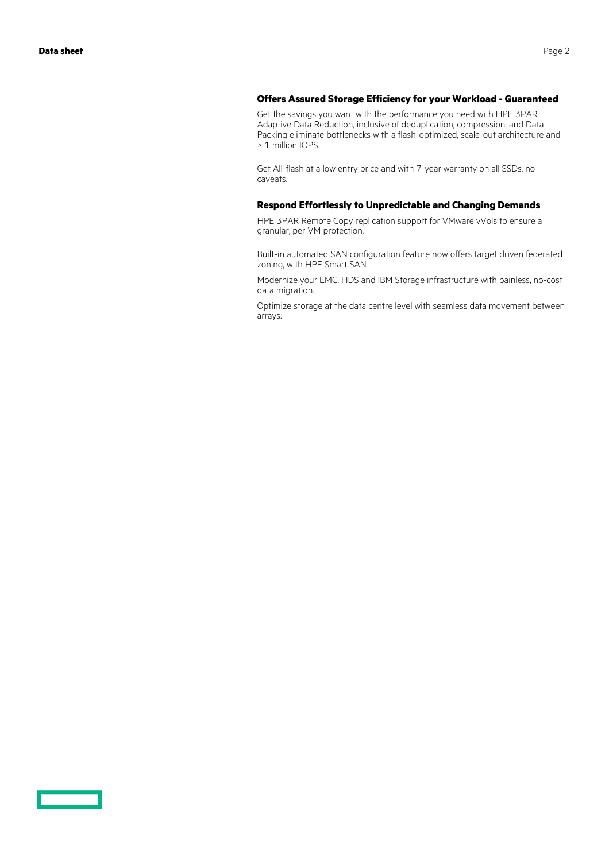<u>a sa Ba</u>

#### **Offers Assured Storage Efficiency for your Workload - Guaranteed**

Get the savings you want with the performance you need with HPE 3PAR Adaptive Data Reduction, inclusive of deduplication, compression, and Data Packing eliminate bottlenecks with a flash-optimized, scale-out architecture and > 1 million IOPS.

Get All-flash at a low entry price and with 7-year warranty on all SSDs, no caveats.

#### **Respond Effortlessly to Unpredictable and Changing Demands**

HPE 3PAR Remote Copy replication support for VMware vVols to ensure a granular, per VM protection.

Built-in automated SAN configuration feature now offers target driven federated zoning, with HPE Smart SAN.

Modernize your EMC, HDS and IBM Storage infrastructure with painless, no-cost data migration.

Optimize storage at the data centre level with seamless data movement between arrays.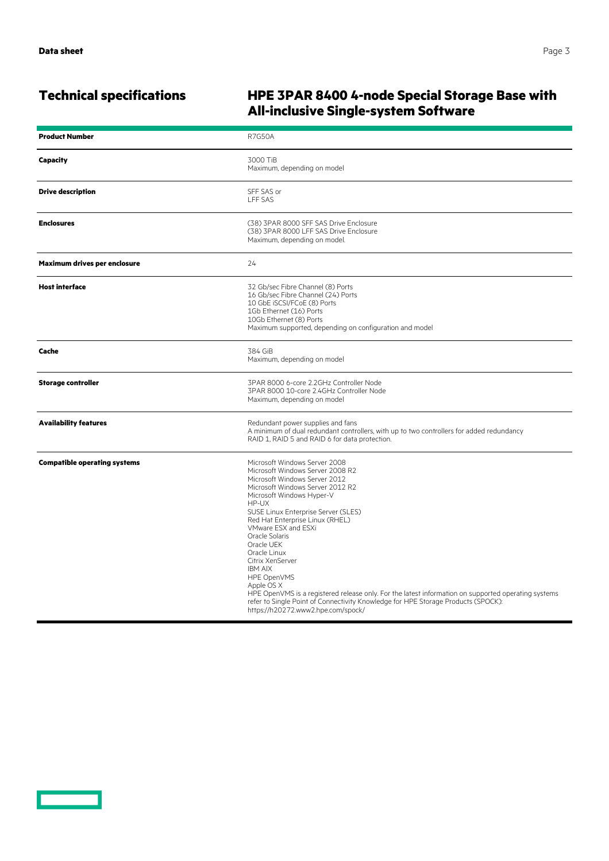<u>and the second part of the second part of the second part of the second part of the second part of the second part of the second part of the second part of the second part of the second part of the second part of the seco</u>

## **Technical specifications HPE 3PAR 8400 4-node Special Storage Base with All-inclusive Single-system Software**

| <b>Product Number</b>               | <b>R7G50A</b>                                                                                                                                                                                                                                                                                                                                                                                                                                                                                                                                                                                                                      |
|-------------------------------------|------------------------------------------------------------------------------------------------------------------------------------------------------------------------------------------------------------------------------------------------------------------------------------------------------------------------------------------------------------------------------------------------------------------------------------------------------------------------------------------------------------------------------------------------------------------------------------------------------------------------------------|
| <b>Capacity</b>                     | 3000 TiB<br>Maximum, depending on model                                                                                                                                                                                                                                                                                                                                                                                                                                                                                                                                                                                            |
| <b>Drive description</b>            | SFF SAS or<br><b>LFF SAS</b>                                                                                                                                                                                                                                                                                                                                                                                                                                                                                                                                                                                                       |
| <b>Enclosures</b>                   | (38) 3PAR 8000 SFF SAS Drive Enclosure<br>(38) 3PAR 8000 LFF SAS Drive Enclosure<br>Maximum, depending on model.                                                                                                                                                                                                                                                                                                                                                                                                                                                                                                                   |
| Maximum drives per enclosure        | 24                                                                                                                                                                                                                                                                                                                                                                                                                                                                                                                                                                                                                                 |
| <b>Host interface</b>               | 32 Gb/sec Fibre Channel (8) Ports<br>16 Gb/sec Fibre Channel (24) Ports<br>10 GbE iSCSI/FCoE (8) Ports<br>1Gb Ethernet (16) Ports<br>10Gb Ethernet (8) Ports<br>Maximum supported, depending on configuration and model                                                                                                                                                                                                                                                                                                                                                                                                            |
| Cache                               | 384 GiB<br>Maximum, depending on model                                                                                                                                                                                                                                                                                                                                                                                                                                                                                                                                                                                             |
| <b>Storage controller</b>           | 3PAR 8000 6-core 2.2GHz Controller Node<br>3PAR 8000 10-core 2.4GHz Controller Node<br>Maximum, depending on model                                                                                                                                                                                                                                                                                                                                                                                                                                                                                                                 |
| <b>Availability features</b>        | Redundant power supplies and fans<br>A minimum of dual redundant controllers, with up to two controllers for added redundancy<br>RAID 1, RAID 5 and RAID 6 for data protection.                                                                                                                                                                                                                                                                                                                                                                                                                                                    |
| <b>Compatible operating systems</b> | Microsoft Windows Server 2008<br>Microsoft Windows Server 2008 R2<br>Microsoft Windows Server 2012<br>Microsoft Windows Server 2012 R2<br>Microsoft Windows Hyper-V<br>HP-UX<br>SUSE Linux Enterprise Server (SLES)<br>Red Hat Enterprise Linux (RHEL)<br>VMware ESX and ESXi<br>Oracle Solaris<br>Oracle UEK<br>Oracle Linux<br>Citrix XenServer<br><b>IBM AIX</b><br>HPE OpenVMS<br>Apple OS X<br>HPE OpenVMS is a registered release only. For the latest information on supported operating systems<br>refer to Single Point of Connectivity Knowledge for HPE Storage Products (SPOCK):<br>https://h20272.www2.hpe.com/spock/ |